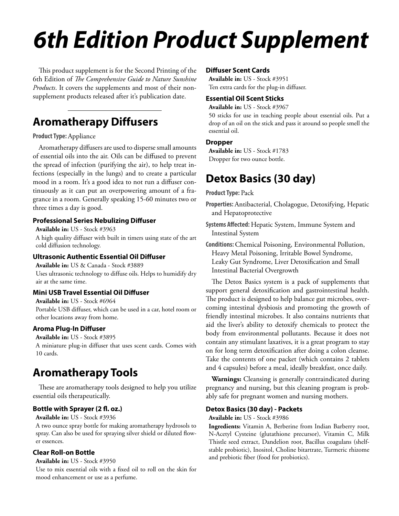# *6th Edition Product Supplement*

This product supplement is for the Second Printing of the 6th Edition of *The Comprehensive Guide to Nature Sunshine Products*. It covers the supplements and most of their nonsupplement products released after it's publication date.

### **Aromatherapy Diffusers**

#### **Product Type:** Appliance

Aromatherapy diffusers are used to disperse small amounts of essential oils into the air. Oils can be diffused to prevent the spread of infection (purifying the air), to help treat infections (especially in the lungs) and to create a particular mood in a room. It's a good idea to not run a diffuser continuously as it can put an overpowering amount of a fragrance in a room. Generally speaking 15-60 minutes two or three times a day is good.

#### **Professional Series Nebulizing Diffuser**

#### **Available in:** US - Stock #3963

A high quality diffuser with built in timers using state of the art cold diffusion technology.

#### **Ultrasonic Authentic Essential Oil Diffuser**

**Available in:** US & Canada - Stock #3889

Uses ultrasonic technology to diffuse oils. Helps to humidify dry air at the same time.

#### **Mini USB Travel Essential Oil Diffuser**

**Available in:** US - Stock #6964

Portable USB diffuser, which can be used in a car, hotel room or other locations away from home.

#### **Aroma Plug-In Diffuser**

**Available in:** US - Stock #3895 A miniature plug-in diffuser that uses scent cards. Comes with 10 cards.

### **Aromatherapy Tools**

These are aromatherapy tools designed to help you utilize essential oils therapeutically.

#### **Bottle with Sprayer (2 fl. oz.)**

**Available in:** US - Stock #3936

A two ounce spray bottle for making aromatherapy hydrosols to spray. Can also be used for spraying silver shield or diluted flower essences.

#### **Clear Roll-on Bottle**

#### **Available in:** US - Stock #3950

Use to mix essential oils with a fixed oil to roll on the skin for mood enhancement or use as a perfume.

#### **Diffuser Scent Cards**

**Available in:** US - Stock #3951 Ten extra cards for the plug-in diffuser.

#### **Essential Oil Scent Sticks**

**Available in:** US - Stock #3967

50 sticks for use in teaching people about essential oils. Put a drop of an oil on the stick and pass it around so people smell the essential oil.

#### **Dropper**

**Available in:** US - Stock #1783 Dropper for two ounce bottle.

### **Detox Basics (30 day)**

#### **Product Type:** Pack

**Properties:** Antibacterial, Cholagogue, Detoxifying, Hepatic and Hepatoprotective

**Systems Affected:** Hepatic System, Immune System and Intestinal System

**Conditions:** Chemical Poisoning, Environmental Pollution, Heavy Metal Poisoning, Irritable Bowel Syndrome, Leaky Gut Syndrome, Liver Detoxification and Small Intestinal Bacterial Overgrowth

The Detox Basics system is a pack of supplements that support general detoxification and gastrointestinal health. The product is designed to help balance gut microbes, overcoming intestinal dysbiosis and promoting the growth of friendly intestinal microbes. It also contains nutrients that aid the liver's ability to detoxify chemicals to protect the body from environmental pollutants. Because it does not contain any stimulant laxatives, it is a great program to stay on for long term detoxification after doing a colon cleanse. Take the contents of one packet (which contains 2 tablets and 4 capsules) before a meal, ideally breakfast, once daily.

**Warnings:** Cleansing is generally contraindicated during pregnancy and nursing, but this cleaning program is probably safe for pregnant women and nursing mothers.

#### **Detox Basics (30 day) - Packets**

#### **Available in:** US - Stock #3986

**Ingredients:** Vitamin A, Berberine from Indian Barberry root, N-Acetyl Cysteine (glutathione precursor), Vitamin C, Milk Thistle seed extract, Dandelion root, Bacillus coagulans (shelfstable probiotic), Inositol, Choline bitartrate, Turmeric rhizome and prebiotic fiber (food for probiotics).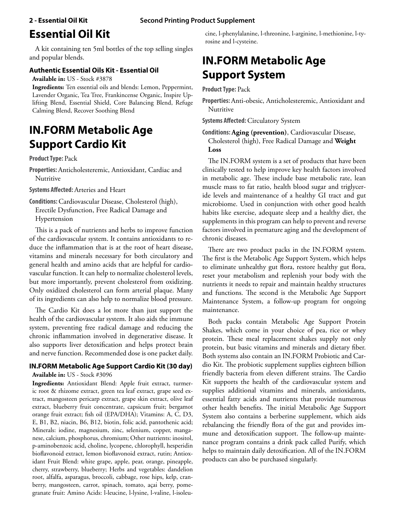### **Essential Oil Kit**

A kit containing ten 5ml bottles of the top selling singles and popular blends.

#### **Authentic Essential Oils Kit - Essential Oil**

**Available in:** US - Stock #3878

**Ingredients:** Ten essential oils and blends: Lemon, Peppermint, Lavender Organic, Tea Tree, Frankincense Organic, Inspire Uplifting Blend, Essential Shield, Core Balancing Blend, Refuge Calming Blend, Recover Soothing Blend

### **IN.FORM Metabolic Age Support Cardio Kit**

#### **Product Type:** Pack

**Properties:** Anticholesteremic, Antioxidant, Cardiac and Nutritive

#### **Systems Affected:** Arteries and Heart

**Conditions:** Cardiovascular Disease, Cholesterol (high), Erectile Dysfunction, Free Radical Damage and Hypertension

This is a pack of nutrients and herbs to improve function of the cardiovascular system. It contains antioxidants to reduce the inflammation that is at the root of heart disease, vitamins and minerals necessary for both circulatory and general health and amino acids that are helpful for cardiovascular function. It can help to normalize cholesterol levels, but more importantly, prevent cholesterol from oxidizing. Only oxidized cholesterol can form arterial plaque. Many of its ingredients can also help to normalize blood pressure.

The Cardio Kit does a lot more than just support the health of the cardiovascular system. It also aids the immune system, preventing free radical damage and reducing the chronic inflammation involved in degenerative disease. It also supports liver detoxification and helps protect brain and nerve function. Recommended dose is one packet daily.

#### **IN.FORM Metabolic Age Support Cardio Kit (30 day)**

**Available in:** US - Stock #3096

**Ingredients:** Antioxidant Blend: Apple fruit extract, turmeric root & rhizome extract, green tea leaf extract, grape seed extract, mangosteen pericarp extract, grape skin extract, olive leaf extract, blueberry fruit concentrate, capsicum fruit; bergamot orange fruit extract; fish oil (EPA/DHA); Vitamins: A, C, D3, E, B1, B2, niacin, B6, B12, biotin, folic acid, pantothenic acid; Minerals: iodine, magnesium, zinc, selenium, copper, manganese, calcium, phosphorus, chromium; Other nutrients: inositol, p-aminobenzoic acid, choline, lycopene, chlorophyll, hesperidin bioflavonoid extract, lemon bioflavonoid extract, rutin; Antioxidant Fruit Blend: white grape, apple, pear, orange, pineapple, cherry, strawberry, blueberry; Herbs and vegetables: dandelion root, alfalfa, asparagus, broccoli, cabbage, rose hips, kelp, cranberry, mangosteen, carrot, spinach, tomato, açai berry, pomegranate fruit: Amino Acids: l-leucine, l-lysine, l-valine, l-isoleucine, l-phenylalanine, l-threonine, l-arginine, l-methionine, l-tyrosine and l-cysteine.

### **IN.FORM Metabolic Age Support System**

**Product Type:** Pack

**Properties:** Anti-obesic, Anticholesteremic, Antioxidant and Nutritive

**Systems Affected:** Circulatory System

**Conditions: Aging (prevention)**, Cardiovascular Disease, Cholesterol (high), Free Radical Damage and **Weight Loss**

The IN.FORM system is a set of products that have been clinically tested to help improve key health factors involved in metabolic age. These include base metabolic rate, lean muscle mass to fat ratio, health blood sugar and triglyceride levels and maintenance of a healthy GI tract and gut microbiome. Used in conjunction with other good health habits like exercise, adequate sleep and a healthy diet, the supplements in this program can help to prevent and reverse factors involved in premature aging and the development of chronic diseases.

There are two product packs in the IN.FORM system. The first is the Metabolic Age Support System, which helps to eliminate unhealthy gut flora, restore healthy gut flora, reset your metabolism and replenish your body with the nutrients it needs to repair and maintain healthy structures and functions. The second is the Metabolic Age Support Maintenance System, a follow-up program for ongoing maintenance.

Both packs contain Metabolic Age Support Protein Shakes, which come in your choice of pea, rice or whey protein. These meal replacement shakes supply not only protein, but basic vitamins and minerals and dietary fiber. Both systems also contain an IN.FORM Probiotic and Cardio Kit. The probiotic supplement supplies eighteen billion friendly bacteria from eleven different strains. The Cardio Kit supports the health of the cardiovascular system and supplies additional vitamins and minerals, antioxidants, essential fatty acids and nutrients that provide numerous other health benefits. The initial Metabolic Age Support System also contains a berberine supplement, which aids rebalancing the friendly flora of the gut and provides immune and detoxification support. The follow-up maintenance program contains a drink pack called Purify, which helps to maintain daily detoxification. All of the IN.FORM products can also be purchased singularly.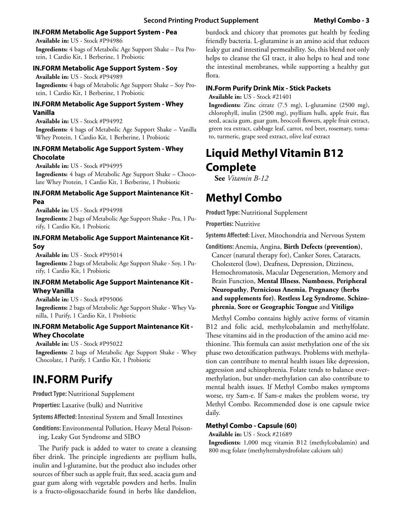#### **IN.FORM Metabolic Age Support System - Pea**

**Available in:** US - Stock #P94986 **Ingredients:** 4 bags of Metabolic Age Support Shake – Pea Protein, 1 Cardio Kit, 1 Berberine, 1 Probiotic

#### **IN.FORM Metabolic Age Support System - Soy**

**Available in:** US - Stock #P94989 **Ingredients:** 4 bags of Metabolic Age Support Shake – Soy Protein, 1 Cardio Kit, 1 Berberine, 1 Probiotic

#### **IN.FORM Metabolic Age Support System - Whey Vanilla**

**Available in:** US - Stock #P94992 **Ingredients:** 4 bags of Metabolic Age Support Shake – Vanilla Whey Protein, 1 Cardio Kit, 1 Berberine, 1 Probiotic

#### **IN.FORM Metabolic Age Support System - Whey Chocolate**

**Available in:** US - Stock #P94995

**Ingredients:** 4 bags of Metabolic Age Support Shake – Chocolate Whey Protein, 1 Cardio Kit, 1 Berberine, 1 Probiotic

#### **IN.FORM Metabolic Age Support Maintenance Kit - Pea**

**Available in:** US - Stock #P94998

**Ingredients:** 2 bags of Metabolic Age Support Shake - Pea, 1 Purify, 1 Cardio Kit, 1 Probiotic

#### **IN.FORM Metabolic Age Support Maintenance Kit - Soy**

**Available in:** US - Stock #P95014

**Ingredients:** 2 bags of Metabolic Age Support Shake - Soy, 1 Purify, 1 Cardio Kit, 1 Probiotic

#### **IN.FORM Metabolic Age Support Maintenance Kit - Whey Vanilla**

**Available in:** US - Stock #P95006 **Ingredients:** 2 bags of Metabolic Age Support Shake - Whey Vanilla, 1 Purify, 1 Cardio Kit, 1 Probiotic

#### **IN.FORM Metabolic Age Support Maintenance Kit - Whey Chocolate**

**Available in:** US - Stock #P95022

**Ingredients:** 2 bags of Metabolic Age Support Shake - Whey Chocolate, 1 Purify, 1 Cardio Kit, 1 Probiotic

### **IN.FORM Purify**

**Product Type:** Nutritional Supplement

**Properties:** Laxative (bulk) and Nutritive

**Systems Affected:** Intestinal System and Small Intestines

**Conditions:** Environmental Pollution, Heavy Metal Poisoning, Leaky Gut Syndrome and SIBO

The Purify pack is added to water to create a cleansing fiber drink. The principle ingredients are psyllium hulls, inulin and l-glutamine, but the product also includes other sources of fiber such as apple fruit, flax seed, acacia gum and guar gum along with vegetable powders and herbs. Inulin is a fructo-oligosaccharide found in herbs like dandelion, burdock and chicory that promotes gut health by feeding friendly bacteria. L-glutamine is an amino acid that reduces leaky gut and intestinal permeability. So, this blend not only helps to cleanse the GI tract, it also helps to heal and tone the intestinal membranes, while supporting a healthy gut flora.

#### **IN.Form Purify Drink Mix - Stick Packets**

**Available in:** US - Stock #21401

**Ingredients:** Zinc citrate (7.5 mg), L-glutamine (2500 mg), chlorophyll, inulin (2500 mg), psyllium hulls, apple fruit, flax seed, acacia gum, guar gum, broccoli flowers, apple fruit extract, green tea extract, cabbage leaf, carrot, red beet, rosemary, tomato, turmeric, grape seed extract, olive leaf extract

### **Liquid Methyl Vitamin B12 Complete**

**See** *Vitamin B-12*

### **Methyl Combo**

**Product Type:** Nutritional Supplement

**Properties:** Nutritive

**Systems Affected:** Liver, Mitochondria and Nervous System

**Conditions:** Anemia, Angina, **Birth Defects (prevention)**, Cancer (natural therapy for), Canker Sores, Cataracts, Cholesterol (low), Deafness, Depression, Dizziness, Hemochromatosis, Macular Degeneration, Memory and Brain Function, **Mental Illness**, **Numbness**, **Peripheral Neuropathy**, **Pernicious Anemia**, **Pregnancy (herbs and supplements for)**, **Restless Leg Syndrome**, **Schizophrenia**, **Sore or Geographic Tongue** and **Vitiligo**

Methyl Combo contains highly active forms of vitamin B12 and folic acid, methylcobalamin and methylfolate. These vitamins aid in the production of the amino acid methionine. This formula can assist methylation one of the six phase two detoxification pathways. Problems with methylation can contribute to mental health issues like depression, aggression and schizophrenia. Folate tends to balance overmethylation, but under-methylation can also contribute to mental health issues. If Methyl Combo makes symptoms worse, try Sam-e. If Sam-e makes the problem worse, try Methyl Combo. Recommended dose is one capsule twice daily.

#### **Methyl Combo - Capsule (60)**

**Available in:** US - Stock #21689

**Ingredients:** 1,000 mcg vitamin B12 (methylcobalamin) and 800 mcg folate (methyltetrahyrdrofolate calcium salt)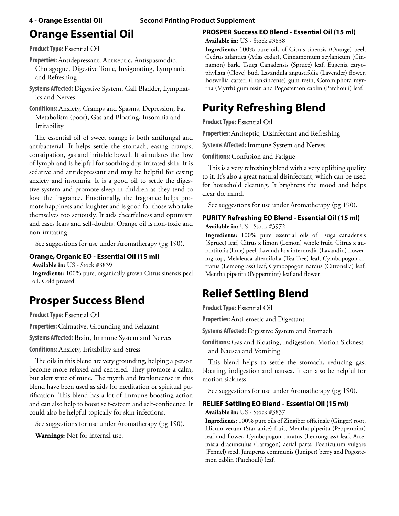# **Orange Essential Oil**

**Product Type:** Essential Oil

**Properties:** Antidepressant, Antiseptic, Antispasmodic, Cholagogue, Digestive Tonic, Invigorating, Lymphatic and Refreshing

**Systems Affected:** Digestive System, Gall Bladder, Lymphatics and Nerves

**Conditions:** Anxiety, Cramps and Spasms, Depression, Fat Metabolism (poor), Gas and Bloating, Insomnia and Irritability

The essential oil of sweet orange is both antifungal and antibacterial. It helps settle the stomach, easing cramps, constipation, gas and irritable bowel. It stimulates the flow of lymph and is helpful for soothing dry, irritated skin. It is sedative and antidepressant and may be helpful for easing anxiety and insomnia. It is a good oil to settle the digestive system and promote sleep in children as they tend to love the fragrance. Emotionally, the fragrance helps promote happiness and laughter and is good for those who take themselves too seriously. It aids cheerfulness and optimism and eases fears and self-doubts. Orange oil is non-toxic and non-irritating.

See suggestions for use under Aromatherapy (pg 190).

#### **Orange, Organic EO - Essential Oil (15 ml)**

**Available in:** US - Stock #3839

**Ingredients:** 100% pure, organically grown Citrus sinensis peel oil. Cold pressed.

## **Prosper Success Blend**

**Product Type:** Essential Oil

**Properties:** Calmative, Grounding and Relaxant

**Systems Affected:** Brain, Immune System and Nerves

**Conditions:** Anxiety, Irritability and Stress

The oils in this blend are very grounding, helping a person become more relaxed and centered. They promote a calm, but alert state of mine. The myrrh and frankincense in this blend have been used as aids for meditation or spiritual purification. This blend has a lot of immune-boosting action and can also help to boost self-esteem and self-confidence. It could also be helpful topically for skin infections.

See suggestions for use under Aromatherapy (pg 190).

**Warnings:** Not for internal use.

### **PROSPER Success EO Blend - Essential Oil (15 ml)**

**Available in:** US - Stock #3838

**Ingredients:** 100% pure oils of Citrus sinensis (Orange) peel, Cedrus atlantica (Atlas cedar), Cinnamomum zeylanicum (Cinnamon) bark, Tsuga Canadensis (Spruce) leaf, Eugenia caryophyllata (Clove) bud, Lavandula angustifolia (Lavender) flower, Boswellia carteri (Frankincense) gum resin, Commiphora myrrha (Myrrh) gum resin and Pogostemon cablin (Patchouli) leaf.

## **Purity Refreshing Blend**

**Product Type:** Essential Oil

**Properties:** Antiseptic, Disinfectant and Refreshing

**Systems Affected:** Immune System and Nerves

**Conditions:** Confusion and Fatigue

This is a very refreshing blend with a very uplifting quality to it. It's also a great natural disinfectant, which can be used for household cleaning. It brightens the mood and helps clear the mind.

See suggestions for use under Aromatherapy (pg 190).

#### **PURITY Refreshing EO Blend - Essential Oil (15 ml) Available in:** US - Stock #3972

**Ingredients:** 100% pure essential oils of Tsuga canadensis (Spruce) leaf, Citrus x limon (Lemon) whole fruit, Citrus x aurantifolia (lime) peel, Lavandula x intermedia (Lavandin) flowering top, Melaleuca alternifolia (Tea Tree) leaf, Cymbopogon citratus (Lemongrass) leaf, Cymbopogon nardus (Citronella) leaf, Mentha piperita (Peppermint) leaf and flower.

## **Relief Settling Blend**

**Product Type:** Essential Oil

**Properties:** Anti-emetic and Digestant

**Systems Affected:** Digestive System and Stomach

**Conditions:** Gas and Bloating, Indigestion, Motion Sickness and Nausea and Vomiting

This blend helps to settle the stomach, reducing gas, bloating, indigestion and nausea. It can also be helpful for motion sickness.

See suggestions for use under Aromatherapy (pg 190).

### **RELIEF Settling EO Blend - Essential Oil (15 ml)**

**Available in:** US - Stock #3837

**Ingredients:** 100% pure oils of Zingiber officinale (Ginger) root, Illicum verum (Star anise) fruit, Mentha piperita (Peppermint) leaf and flower, Cymbopogon citratus (Lemongrass) leaf, Artemisia dracunculus (Tarragon) aerial parts, Foeniculum vulgare (Fennel) seed, Juniperus communis (Juniper) berry and Pogostemon cablin (Patchouli) leaf.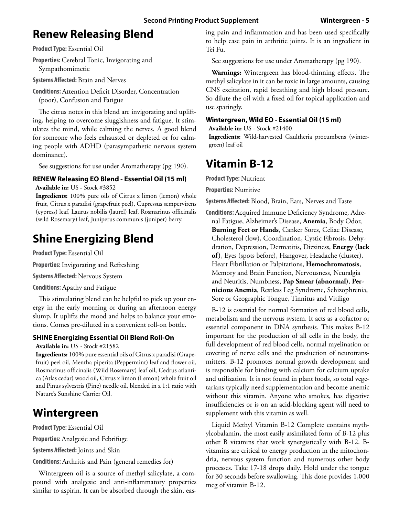### **Renew Releasing Blend**

**Product Type:** Essential Oil

**Properties:** Cerebral Tonic, Invigorating and Sympathomimetic

**Systems Affected:** Brain and Nerves

**Conditions:** Attention Deficit Disorder, Concentration (poor), Confusion and Fatigue

The citrus notes in this blend are invigorating and uplifting, helping to overcome sluggishness and fatigue. It stimulates the mind, while calming the nerves. A good blend for someone who feels exhausted or depleted or for calming people with ADHD (parasympathetic nervous system dominance).

See suggestions for use under Aromatherapy (pg 190).

#### **RENEW Releasing EO Blend - Essential Oil (15 ml)**

**Available in:** US - Stock #3852

**Ingredients:** 100% pure oils of Citrus x limon (lemon) whole fruit, Citrus x paradisi (grapefruit peel), Cupressus sempervirens (cypress) leaf, Laurus nobilis (laurel) leaf, Rosmarinus officinalis (wild Rosemary) leaf, Juniperus communis (juniper) berry.

## **Shine Energizing Blend**

**Product Type:** Essential Oil

**Properties:** Invigorating and Refreshing

**Systems Affected:** Nervous System

**Conditions:** Apathy and Fatigue

This stimulating blend can be helpful to pick up your energy in the early morning or during an afternoon energy slump. It uplifts the mood and helps to balance your emotions. Comes pre-diluted in a convenient roll-on bottle.

#### **SHINE Energizing Essential Oil Blend Roll-On**

**Available in:** US - Stock #21582

**Ingredients:** 100% pure essential oils of Citrus x paradisi (Grapefruit) peel oil, Mentha piperita (Peppermint) leaf and flower oil, Rosmarinus officinalis (Wild Rosemary) leaf oil, Cedrus atlantica (Atlas cedar) wood oil, Citrus x limon (Lemon) whole fruit oil and Pinus sylvestris (Pine) needle oil, blended in a 1:1 ratio with Nature's Sunshine Carrier Oil.

### **Wintergreen**

**Product Type:** Essential Oil

**Properties:** Analgesic and Febrifuge

**Systems Affected:** Joints and Skin

**Conditions:** Arthritis and Pain (general remedies for)

Wintergreen oil is a source of methyl salicylate, a compound with analgesic and anti-inflammatory properties similar to aspirin. It can be absorbed through the skin, easing pain and inflammation and has been used specifically to help ease pain in arthritic joints. It is an ingredient in Tei Fu.

See suggestions for use under Aromatherapy (pg 190).

**Warnings:** Wintergreen has blood-thinning effects. The methyl salicylate in it can be toxic in large amounts, causing CNS excitation, rapid breathing and high blood pressure. So dilute the oil with a fixed oil for topical application and use sparingly.

#### **Wintergreen, Wild EO - Essential Oil (15 ml)**

**Available in:** US - Stock #21400

**Ingredients:** Wild-harvested Gaultheria procumbens (wintergreen) leaf oil

### **Vitamin B-12**

**Product Type:** Nutrient

**Properties:** Nutritive

**Systems Affected:** Blood, Brain, Ears, Nerves and Taste

**Conditions:** Acquired Immune Deficiency Syndrome, Adrenal Fatigue, Alzheimer's Disease, **Anemia**, Body Odor, **Burning Feet or Hands**, Canker Sores, Celiac Disease, Cholesterol (low), Coordination, Cystic Fibrosis, Dehydration, Depression, Dermatitis, Dizziness, **Energy (lack of)**, Eyes (spots before), Hangover, Headache (cluster), Heart Fibrillation or Palpitations, **Hemochromatosis**, Memory and Brain Function, Nervousness, Neuralgia and Neuritis, Numbness, **Pap Smear (abnormal)**, **Pernicious Anemia**, Restless Leg Syndrome, Schizophrenia, Sore or Geographic Tongue, Tinnitus and Vitiligo

B-12 is essential for normal formation of red blood cells, metabolism and the nervous system. It acts as a cofactor or essential component in DNA synthesis. This makes B-12 important for the production of all cells in the body, the full development of red blood cells, normal myelination or covering of nerve cells and the production of neurotransmitters. B-12 promotes normal growth development and is responsible for binding with calcium for calcium uptake and utilization. It is not found in plant foods, so total vegetarians typically need supplementation and become anemic without this vitamin. Anyone who smokes, has digestive insufficiencies or is on an acid-blocking agent will need to supplement with this vitamin as well.

Liquid Methyl Vitamin B-12 Complete contains mythylcobalamin, the most easily assimilated form of B-12 plus other B vitamins that work synergistically with B-12. Bvitamins are critical to energy production in the mitochondria, nervous system function and numerous other body processes. Take 17-18 drops daily. Hold under the tongue for 30 seconds before swallowing. This dose provides 1,000 mcg of vitamin B-12.